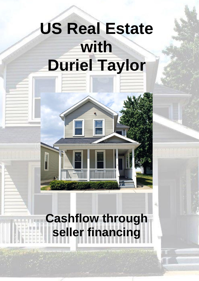# **US Real Estate with Duriel Taylor**

## **Cashflow through seller financing**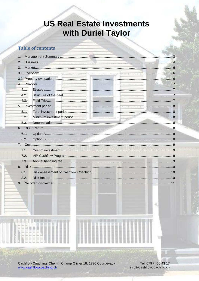## **US Real Estate Investments** with Duriel Taylor

#### **Table of contents**

| 1. |      |  |  |  |
|----|------|--|--|--|
| 2. |      |  |  |  |
| 3. |      |  |  |  |
|    |      |  |  |  |
|    |      |  |  |  |
|    |      |  |  |  |
|    | 4.1. |  |  |  |
|    | 4.2. |  |  |  |
|    | 4.3. |  |  |  |
|    |      |  |  |  |
|    | 5.1. |  |  |  |
|    | 5.2. |  |  |  |
|    | 5.3. |  |  |  |
| 6. |      |  |  |  |
|    | 6.1. |  |  |  |
|    | 6.2. |  |  |  |
|    |      |  |  |  |
|    | 7.1. |  |  |  |
|    | 7.2. |  |  |  |
|    | 7.3. |  |  |  |
|    |      |  |  |  |
|    | 8.1. |  |  |  |
|    | 8.2. |  |  |  |
|    |      |  |  |  |
| 9. |      |  |  |  |

Cashflow Coaching, Chemin Champ Olivier 18, 1796 Courgevaux www.cashflowcoaching.ch

Tel. 079 / 460 43 17 info@cashflowcoaching.ch

и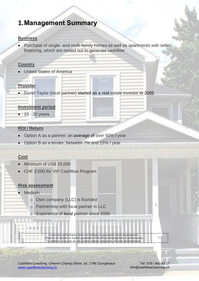### <span id="page-2-0"></span>**1.Management Summary**

#### **Business**

• Purchase of single- and multi-family homes as well as apartments with seller financing, which are rented out to generate cashflow

#### **Country**

**United States of America** 

#### **Provider**

• Duriel Taylor (local partner) started as a real estate investor in 2005

#### **Investment period**

 $\bullet$  10 - 20 years

#### **ROI / Return**

- Option A as a partner: an average of over 50% / year
- Option B as a lender: between 7% and 15% / year

#### **Cost**

- Minimum of US\$ 15,000
- CHF 2,000 for VIP Cashflow Program

#### **Risk assessment**

- Medium
	- o Own company (LLC) is founded
	- o Partnership with local partner in LLC
	- o Experience of local partner since 2005

A previous performance does not indicate or guarantee future development. There is no implied or explicit guarantee of the future development of performance. In addition, forecasts do not provide reliable indications of future developments.

Cashflow Coaching, Chemin Champ Olivier 18, 1796 Courgevaux Tel. 079 / 460 43 17 [www.cashflowcoaching.ch](http://www.cashflowcoaching.ch/) info@cashflowcoaching.ch

ш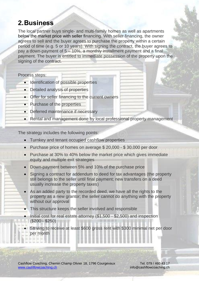## <span id="page-3-0"></span>**2.Business**

The local partner buys single- and multi-family homes as well as apartments below the market price with seller financing. With seller financing, the owner agrees to sell and the buyer agrees to purchase the property within a certain period of time (e.g. 5 or 10 years). With signing the contract, the buyer agrees to pay a down-payment of 5 – 10%, a monthly installment payment and a final payment. The buyer is entitled to immediate possession of the property upon the signing of the contract.

Process steps:

- Identification of possible properties
- Detailed analysis of properties
- Offer for seller financing to the current owners
- Purchase of the properties
- Deferred maintenance if necessary
- Rental and management done by local professional property management

The strategy includes the following points:

- Turnkey and tenant occupied cashflow properties
- Purchase price of homes on average \$ 20,000 \$ 30,000 per door
- Purchase at 30% to 40% below the market price which gives immediate equity and multiple exit strategies
- Down-payment between 5% and 10% of the purchase price
- Signing a contract for addendum to deed for tax advantages (the property still belongs to the seller until final payment; new transfers on a deed usually increase the property taxes)
- As an added party to the recorded deed, we have all the rights to the property as a new grantor; the seller cannot do anything with the property without our approval
- This structure keeps the seller involved and responsible
- Initial cost for real estate attorney (\$1,500 \$2,500) and inspection (\$200 - \$250)

**• Striving to receive at least \$600 gross rent with \$300 minimal net per door** per month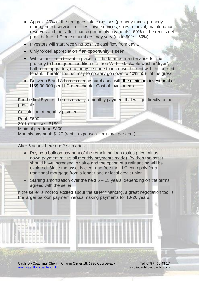- Approx. 40% of the rent goes into expenses (property taxes, property management services, utilities, lawn services, snow removal, maintenance reserves and the seller financing monthly payments), 60% of the rent is net profit before LLC taxes, numbers may vary (up to 50% - 50%)
- Investors will start receiving positive cashflow from day 1
- Only forced appreciation if an opportunity is seen
- With a long-term tenant in place, a little deferred maintenance for the property to be in good condition (i.e. free Wi-Fi, stackable washer/dryer/, bathroom upgrades, etc.) may be done to increase the rent with the current tenant. Therefor the net may temporary go down to 40%-50% of the gross.
- Between 5 and 8 homes can be purchased with the minimum investment of US\$ 30,000 per LLC (see chapter Cost of Investment)

For the first 5 years there is usually a monthly payment that will go directly to the principle. Calculation of monthly payment: Rent: \$600 30% expenses: \$180 Minimal per door: \$300 Monthly payment: \$120 (rent – expenses – minimal per door)

After 5 years there are 2 scenarios:

- Paying a balloon payment of the remaining loan (sales price minus down-payment minus all monthly payments made). By then the asset should have increased in value and the option of a refinancing will be explored. Since the asset is clear and free the LLC can apply for a traditional mortgage from a lender and or local credit union.
- Starting amortization over the next 5 15 years, depending on the terms agreed with the seller

If the seller is not too excited about the seller financing, a great negotiation tool is the larger balloon payment versus making payments for 10-20 years.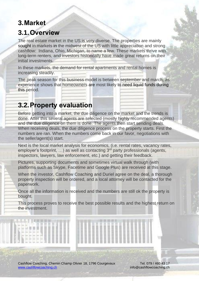## <span id="page-5-0"></span>**3.Market 3.1.Overview**

<span id="page-5-1"></span>The real estate market in the US is very diverse. The properties are mainly sought in markets in the midwest of the US with little appreciation and strong cashflow: Indiana, Ohio, Michigan, to name a few. These markets thrive with long-term renters, and investors historically have made great returns on their initial investments.

In these markets, the demand for rental apartments and rental homes is increasing steadily.

The peak season for this business model is between september and march, as experience shows that homeowners are most likely to need liquid funds during this period.

## <span id="page-5-2"></span>**3.2.Property evaluation**

Before getting into a market, the due diligence on the market and the trends is done. After this several agents are selected (mostly highly recommended agents) and the due diligence on them is done. The agents then start sending deals. When receiving deals, the due diligence process on the property starts. First the numbers are ran. When the numbers come back in our favor, negotiations with the seller/agent(s) start.

Next is the local market analysis for economics, (i.e. rental rates, vacancy rates, employer's footprint, ...) as well as contacting 3<sup>rd</sup> party professionals (agents, inspectors, lawyers, law enforcement, etc.) and getting their feedback.

Pictures, supporting documents and sometimes virtual walk through (with platforms such as Skype, Facetime and Google Plus) are received at this stage.

When the investor, Cashflow Coaching and Duriel agree on the deal, a thorough property inspection will be ordered, and a local attorney will be contacted for the paperwork.

Once all the information is received and the numbers are still ok the property is bought.

This process proves to receive the best possible results and the highest return on the investment.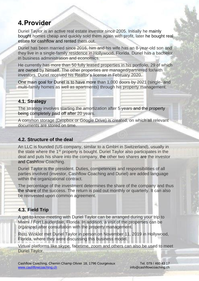## <span id="page-6-0"></span>**4.Provider**

Duriel Taylor is an active real estate investor since 2005. Initially he mainly bought homes cheap and quickly sold them again with profit, later he bought real estate for cashflow and rented them out.

Duriel has been married since 2016, him and his wife has an 8-year-old son and they live in a single-family residence in Hollywood, Florida. Duriel has a bachelor in business administration and economics.

He currently has more than 50 fully leased properties in his portfolio, 29 of which are owned by himself. The other properties are managed/partnered for/with investors. Duriel received his Realtor's license in February 2020.

One main goal for Duriel is to have more than 1,000 doors by 2021 (single- and multi-family homes as well as apartments) through his property management.

#### <span id="page-6-1"></span>**4.1. Strategy**

The strategy involves starting the amortization after 5 years and the property being completely paid off after 20 years.

A common storage (Dropbox or Google Drive) is created, on which all relevant documents are stored on time.

#### <span id="page-6-2"></span>**4.2. Structure of the deal**

An LLC is founded (US company, similar to a GmbH in Switzerland), usually in the state where the 1<sup>st</sup> property is bought. Duriel Taylor also participates in the deal and puts his share into the company, the other two shares are the investor and Cashflow Coaching.

Duriel Taylor is the president. Duties, competences and responsibilities of all parties involved (investor, Cashflow Coaching and Duriel) are added language within the organizational contract.

The percentage of the investment determines the share of the company and thus the share of the success. The return is paid out monthly or quarterly. It can also be reinvested upon common agreement.

#### <span id="page-6-3"></span>**4.3. Field Trip**

A get-to-know-meeting with Duriel Taylor can be arranged during your trip to Miami / Fort Lauderdale, Florida. In addition, a visit of the properties can be organized after consultation with the property management.

Reto Winkler met Duriel Taylor in person on November 11, 2019 in Hollywood, Florida, where they were discussing this business model.

Virtual platforms like skype, facetime, zoom and others can also be used to meet Duriel Taylor.

盆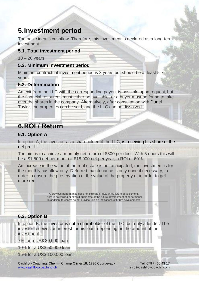## <span id="page-7-0"></span>**5.Investment period**

The basic idea is cashflow. Therefore, this investment is declared as a long-term investment.

#### <span id="page-7-1"></span>**5.1. Total investment period**

 $10 - 20$  years

#### <span id="page-7-2"></span>**5.2. Minimum investment period**

Minimum contractual investment period is 3 years but should be at least 5-7 years.

#### <span id="page-7-3"></span>**5.3. Determination**

An exit from the LLC with the corresponding payout is possible upon request, but the financial resources must either be available, or a buyer must be found to take over the shares in the company. Alternatively, after consultation with Duriel Taylor, the properties can be sold, and the LLC can be dissolved.

## <span id="page-7-4"></span>**6.ROI / Return**

#### <span id="page-7-5"></span>**6.1. Option A**

In option A, the investor, as a shareholder of the LLC, is receiving his share of the net profit.

The aim is to achieve a monthly net return of \$300 per door. With 5 doors this will be a \$1,500 net per month  $=$  \$18,000 net per year, a ROI of 60%.

An increase in the value of the real estate is not anticipated, the investment is for the monthly cashflow only. Deferred maintenance is only done if necessary, in order to ensure the preservation of the value of the property or in order to get more rent.

> A previous performance does not indicate or guarantee future development. There is no implied or explicit guarantee of the future development of performance. In addition, forecasts do not provide reliable indications of future developments.

#### <span id="page-7-6"></span>**6.2. Option B**

In option B, the investor is not a shareholder of the LLC, but only a lender. The investor receives an interest for his loan, depending on the amount of the investment:

7% for a US\$ 30,000 loan

10% for a US\$ 50,000 loan

15% for a US\$ 100,000 loan

Cashflow Coaching, Chemin Champ Olivier 18, 1796 Courgevaux Tel. 079 / 460 43 17 [www.cashflowcoaching.ch](http://www.cashflowcoaching.ch/) info@cashflowcoaching.ch

и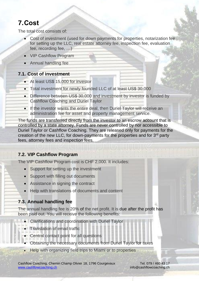## <span id="page-8-0"></span>**7.Cost**

The total cost consists of:

- Cost of investment (used for down payments for properties, notarization fee for setting up the LLC, real estate attorney fee, inspection fee, evaluation fee, recording fee, …)
- VIP Cashflow Program
- Annual handling fee

#### <span id="page-8-1"></span>**7.1. Cost of investment**

- At least US\$ 15,000 for investor
- Total investment for newly founded LLC of at least US\$ 30,000
- Difference between US\$ 30,000 and investment by investor is funded by Cashflow Coaching and Duriel Taylor
- If the investor wants the entire deal, then Duriel Taylor will receive an administration fee for asset and property management service.

The funds are transferred directly from the investor to an escrow account that is controlled by a state attorney. Funds are never controlled by nor accessible to Duriel Taylor or Cashflow Coaching. They are released only for payments for the creation of the new LLC, for down-payments for the properties and for 3<sup>rd</sup> party fees, attorney fees and inspection fees.

#### <span id="page-8-2"></span>**7.2. VIP Cashflow Program**

The VIP Cashflow Program cost is CHF 2,000. It includes:

- Support for setting up the investment
- Support with filling out documents
- Assistance in signing the contract
- Help with translations of documents and content

#### <span id="page-8-3"></span>**7.3. Annual handling fee**

The annual handling fee is 20% of the net profit. It is due after the profit has been paid out. You will receive the following benefits:

- Clarifications and coordination with Duriel Taylor
- Translation of email traffic
- Central contact point for all questions
- Obtaining the necessary documents from Duriel Taylor for taxes
- Help with organizing field trips to Miami or to properties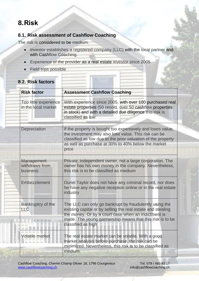## <span id="page-9-0"></span>**8.Risk**

#### <span id="page-9-1"></span>**8.1. Risk assessment of Cashflow Coaching**

The risk is considered to be medium.

- Investor establishes a registered company (LLC) with the local partner and with Cashflow Coaching.
- Experience of the provider as a real estate investor since 2005
- Field trips possible

<span id="page-9-2"></span>

| 8.2. Risk factors |                                              |                                                                                                                                                                                                                                                                 |  |  |
|-------------------|----------------------------------------------|-----------------------------------------------------------------------------------------------------------------------------------------------------------------------------------------------------------------------------------------------------------------|--|--|
|                   | <b>Risk factor</b>                           | <b>Assessment Cashflow Coaching</b>                                                                                                                                                                                                                             |  |  |
|                   | Too little experience<br>in the local market | With experience since 2005, with over 100 purchased real<br>estate properties (50 resold, over 50 cashflow properties<br>in stock) and with a detailed due diligence this risk is<br>classified as low                                                          |  |  |
|                   | Depreciation                                 | If the property is bought too expensively and loses value,<br>the investment may also lose value. This risk can be<br>classified as low due to the prior valuation of the property<br>as well as purchase at 30% to 40% below the market<br>price               |  |  |
|                   | Management<br>withdraws from<br>business     | Private, independent owner, not a large corporation. The<br>owner has his own money in the company. Nevertheless,<br>this risk is to be classified as medium                                                                                                    |  |  |
|                   | Embezzlement                                 | Duriel Taylor does not have any criminal record, nor does<br>he have any negative reception online or in the real estate<br>industry                                                                                                                            |  |  |
| <b>LLC</b>        | Bankruptcy of the                            | The LLC can only go bankrupt by fraudulently using the<br>existing capital or by selling the real estate and stealing<br>the money. Or by a court case when an indictment is<br>made. The young partnership means that this risk is to be<br>classified as high |  |  |
|                   | <b>Volatile market</b>                       | The real estate market can be volatile. With a good<br>market analysis before purchase, the risk can be<br>minimized. Nevertheless, this risk is to be classified as<br>medium.                                                                                 |  |  |

## Cashflow Coaching, Chemin Champ Olivier 18, 1796 Courgevaux Tel. 079 / 460 43 17<br>
www.cashflowcoaching.ch<br>
info@cashflowcoaching.ch

info@cashflowcoaching.ch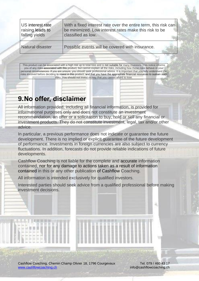US interest rate raising leads to falling yields With a fixed interest rate over the entire term, this risk can be minimized. Low interest rates make this risk to be classified as low. Natural disaster Possible events will be covered with insurance.

This product can be associated with a high risk up to total loss and is not suitable for many investors. This notice informs you of any risks associated with this product, but cannot explain all the risks, including how these risks behave in your personal circumstances. If you are unsure, you should seek professional advice. It is important that you fully understand the risks involved before deciding to invest in this product, and that you have the appropriate financial resources to sustain such risks. You should not invest money that you cannot afford to lose.

## <span id="page-10-0"></span>**9.No offer, disclaimer**

All information provided, including all financial information, is provided for informational purposes only and does not constitute an investment recommendation, an offer or a solicitation to buy, hold or sell any financial or investment products. They do not constitute investment, legal, tax and/or other advice.

In particular, a previous performance does not indicate or guarantee the future development. There is no implied or explicit guarantee of the future development of performance. Investments in foreign currencies are also subject to currency fluctuations. In addition, forecasts do not provide reliable indications of future developments.

Cashflow Coaching is not liable for the complete and accurate information contained, nor for any damage to actions taken as a result of information contained in this or any other publication of Cashflow Coaching.

All information is intended exclusively for qualified investors.

Interested parties should seek advice from a qualified professional before making investment decisions.